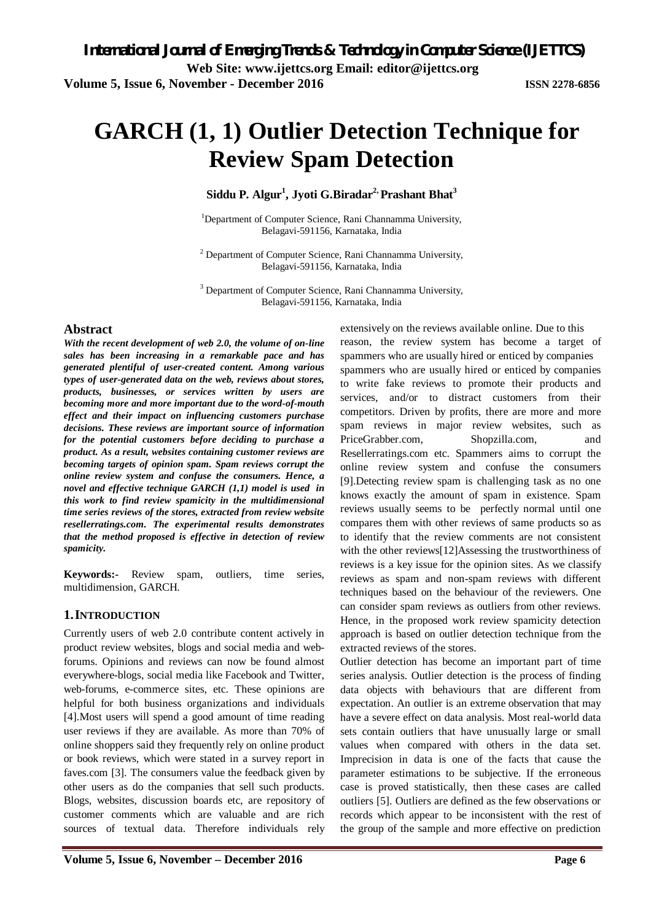# **GARCH (1, 1) Outlier Detection Technique for Review Spam Detection**

**Siddu P. Algur<sup>1</sup> , Jyoti G.Biradar2, Prashant Bhat<sup>3</sup>**

<sup>1</sup>Department of Computer Science, Rani Channamma University, Belagavi-591156, Karnataka, India

 $2$  Department of Computer Science, Rani Channamma University, Belagavi-591156, Karnataka, India

<sup>3</sup> Department of Computer Science, Rani Channamma University, Belagavi-591156, Karnataka, India

#### **Abstract**

*With the recent development of web 2.0, the volume of on-line sales has been increasing in a remarkable pace and has generated plentiful of user-created content. Among various types of user-generated data on the web, reviews about stores, products, businesses, or services written by users are becoming more and more important due to the word-of-mouth effect and their impact on influencing customers purchase decisions. These reviews are important source of information for the potential customers before deciding to purchase a product. As a result, websites containing customer reviews are becoming targets of opinion spam. Spam reviews corrupt the online review system and confuse the consumers. Hence, a novel and effective technique GARCH (1,1) model is used in this work to find review spamicity in the multidimensional time series reviews of the stores, extracted from review website resellerratings.com. The experimental results demonstrates that the method proposed is effective in detection of review spamicity.*

**Keywords:-** Review spam, outliers, time series, multidimension, GARCH.

#### **1.INTRODUCTION**

Currently users of web 2.0 contribute content actively in product review websites, blogs and social media and webforums. Opinions and reviews can now be found almost everywhere-blogs, social media like Facebook and Twitter, web-forums, e-commerce sites, etc. These opinions are helpful for both business organizations and individuals [4].Most users will spend a good amount of time reading user reviews if they are available. As more than 70% of online shoppers said they frequently rely on online product or book reviews, which were stated in a survey report in faves.com [3]. The consumers value the feedback given by other users as do the companies that sell such products. Blogs, websites, discussion boards etc, are repository of customer comments which are valuable and are rich sources of textual data. Therefore individuals rely

extensively on the reviews available online. Due to this reason, the review system has become a target of spammers who are usually hired or enticed by companies spammers who are usually hired or enticed by companies to write fake reviews to promote their products and services, and/or to distract customers from their competitors. Driven by profits, there are more and more spam reviews in major review websites, such as PriceGrabber.com, Shopzilla.com, and Resellerratings.com etc. Spammers aims to corrupt the online review system and confuse the consumers [9].Detecting review spam is challenging task as no one knows exactly the amount of spam in existence. Spam reviews usually seems to be perfectly normal until one compares them with other reviews of same products so as to identify that the review comments are not consistent with the other reviews[12]Assessing the trustworthiness of reviews is a key issue for the opinion sites. As we classify reviews as spam and non-spam reviews with different techniques based on the behaviour of the reviewers. One can consider spam reviews as outliers from other reviews. Hence, in the proposed work review spamicity detection approach is based on outlier detection technique from the extracted reviews of the stores.

Outlier detection has become an important part of time series analysis. Outlier detection is the process of finding data objects with behaviours that are different from expectation. An outlier is an extreme observation that may have a severe effect on data analysis. Most real-world data sets contain outliers that have unusually large or small values when compared with others in the data set. Imprecision in data is one of the facts that cause the parameter estimations to be subjective. If the erroneous case is proved statistically, then these cases are called outliers [5]. Outliers are defined as the few observations or records which appear to be inconsistent with the rest of the group of the sample and more effective on prediction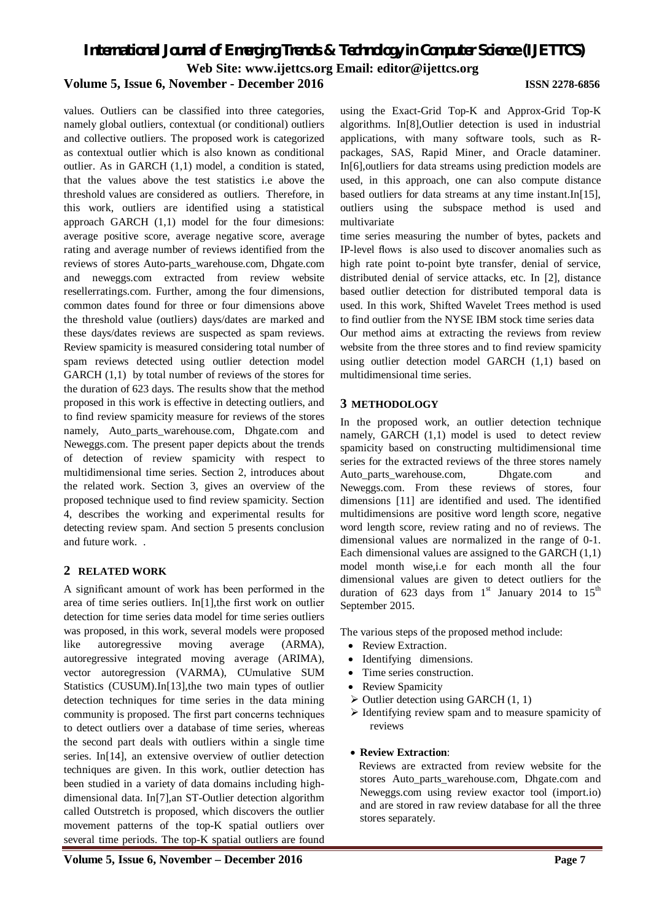values. Outliers can be classified into three categories, namely global outliers, contextual (or conditional) outliers and collective outliers. The proposed work is categorized as contextual outlier which is also known as conditional outlier. As in GARCH (1,1) model, a condition is stated, that the values above the test statistics i.e above the threshold values are considered as outliers. Therefore, in this work, outliers are identified using a statistical approach GARCH (1,1) model for the four dimesions: average positive score, average negative score, average rating and average number of reviews identified from the reviews of stores Auto-parts\_warehouse.com, Dhgate.com and neweggs.com extracted from review website resellerratings.com. Further, among the four dimensions, common dates found for three or four dimensions above the threshold value (outliers) days/dates are marked and these days/dates reviews are suspected as spam reviews. Review spamicity is measured considering total number of spam reviews detected using outlier detection model GARCH (1,1) by total number of reviews of the stores for the duration of 623 days. The results show that the method proposed in this work is effective in detecting outliers, and to find review spamicity measure for reviews of the stores namely, Auto\_parts\_warehouse.com, Dhgate.com and Neweggs.com. The present paper depicts about the trends of detection of review spamicity with respect to multidimensional time series. Section 2, introduces about the related work. Section 3, gives an overview of the proposed technique used to find review spamicity. Section 4, describes the working and experimental results for detecting review spam. And section 5 presents conclusion and future work. .

#### **2 RELATED WORK**

A significant amount of work has been performed in the area of time series outliers. In[1],the first work on outlier detection for time series data model for time series outliers was proposed, in this work, several models were proposed like autoregressive moving average (ARMA), autoregressive integrated moving average (ARIMA), vector autoregression (VARMA), CUmulative SUM Statistics (CUSUM).In[13],the two main types of outlier detection techniques for time series in the data mining community is proposed. The first part concerns techniques to detect outliers over a database of time series, whereas the second part deals with outliers within a single time series. In[14], an extensive overview of outlier detection techniques are given. In this work, outlier detection has been studied in a variety of data domains including highdimensional data. In[7],an ST-Outlier detection algorithm called Outstretch is proposed, which discovers the outlier movement patterns of the top-K spatial outliers over several time periods. The top-K spatial outliers are found

using the Exact-Grid Top-K and Approx-Grid Top-K algorithms. In[8],Outlier detection is used in industrial applications, with many software tools, such as Rpackages, SAS, Rapid Miner, and Oracle dataminer. In[6],outliers for data streams using prediction models are used, in this approach, one can also compute distance based outliers for data streams at any time instant.In[15], outliers using the subspace method is used and multivariate

time series measuring the number of bytes, packets and IP-level flows is also used to discover anomalies such as high rate point to-point byte transfer, denial of service, distributed denial of service attacks, etc. In [2], distance based outlier detection for distributed temporal data is used. In this work, Shifted Wavelet Trees method is used to find outlier from the NYSE IBM stock time series data Our method aims at extracting the reviews from review website from the three stores and to find review spamicity using outlier detection model GARCH (1,1) based on multidimensional time series.

#### **3 METHODOLOGY**

In the proposed work, an outlier detection technique namely, GARCH (1,1) model is used to detect review spamicity based on constructing multidimensional time series for the extracted reviews of the three stores namely Auto parts warehouse.com, Dhgate.com and Neweggs.com. From these reviews of stores, four dimensions [11] are identified and used. The identified multidimensions are positive word length score, negative word length score, review rating and no of reviews. The dimensional values are normalized in the range of 0-1. Each dimensional values are assigned to the GARCH (1,1) model month wise,i.e for each month all the four dimensional values are given to detect outliers for the duration of 623 days from  $1<sup>st</sup>$  January 2014 to  $15<sup>th</sup>$ September 2015.

The various steps of the proposed method include:

- Review Extraction.
- Identifying dimensions.
- Time series construction.
- Review Spamicity
- $\triangleright$  Outlier detection using GARCH (1, 1)
- $\triangleright$  Identifying review spam and to measure spamicity of reviews
- **Review Extraction**:

 Reviews are extracted from review website for the stores Auto parts warehouse.com, Dhgate.com and Neweggs.com using review exactor tool (import.io) and are stored in raw review database for all the three stores separately.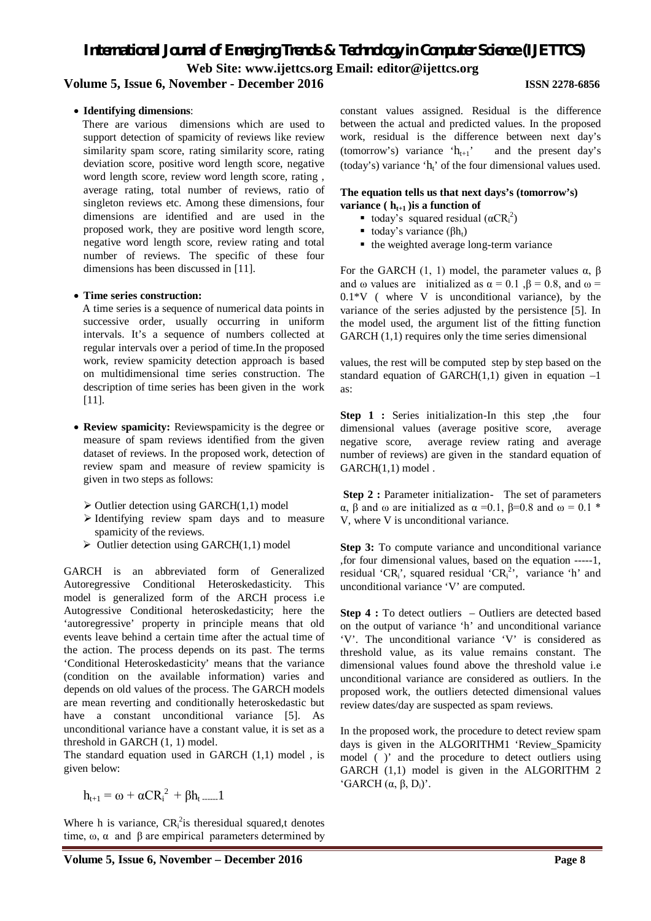*International Journal of Emerging Trends & Technology in Computer Science (IJETTCS)* **Web Site: www.ijettcs.org Email: editor@ijettcs.org** 

#### **Volume 5, Issue 6, November - December 2016 ISSN 2278-6856**

#### **Identifying dimensions**:

 There are various dimensions which are used to support detection of spamicity of reviews like review similarity spam score, rating similarity score, rating deviation score, positive word length score, negative word length score, review word length score, rating , average rating, total number of reviews, ratio of singleton reviews etc. Among these dimensions, four dimensions are identified and are used in the proposed work, they are positive word length score, negative word length score, review rating and total number of reviews. The specific of these four dimensions has been discussed in [11].

#### **Time series construction:**

 A time series is a sequence of numerical data points in successive order, usually occurring in uniform intervals. It's a sequence of numbers collected at regular intervals over a period of time.In the proposed work, review spamicity detection approach is based on multidimensional time series construction. The description of time series has been given in the work [11].

- **Review spamicity:** Reviewspamicity is the degree or measure of spam reviews identified from the given dataset of reviews. In the proposed work, detection of review spam and measure of review spamicity is given in two steps as follows:
	- $\triangleright$  Outlier detection using GARCH(1,1) model
	- $\triangleright$  Identifying review spam days and to measure spamicity of the reviews.
	- $\triangleright$  Outlier detection using GARCH(1,1) model

GARCH is an abbreviated form of Generalized Autoregressive Conditional Heteroskedasticity. This model is generalized form of the ARCH process i.e Autogressive Conditional heteroskedasticity; here the 'autoregressive' property in principle means that old events leave behind a certain time after the actual time of the action. The process depends on its past. The terms 'Conditional Heteroskedasticity' means that the variance (condition on the available information) varies and depends on old values of the process. The GARCH models are mean reverting and conditionally heteroskedastic but have a constant unconditional variance [5]. As unconditional variance have a constant value, it is set as a threshold in GARCH (1, 1) model.

The standard equation used in GARCH (1,1) model , is given below:

$$
h_{t+1} = \omega + \alpha C{R_i}^2 + \beta h_t \dots 1
$$

Where h is variance,  $CR_i^2$  is theresidual squared,t denotes time,  $\omega$ ,  $\alpha$  and  $\beta$  are empirical parameters determined by

constant values assigned. Residual is the difference between the actual and predicted values. In the proposed work, residual is the difference between next day's (tomorrow's) variance ' $h_{t+1}$ ' and the present day's (today's) variance  $h_i$  of the four dimensional values used.

#### **The equation tells us that next days's (tomorrow's)**

- **variance** ( $h_{t+1}$ ) **is a function of** 
	- today's squared residual  $(\alpha C R_i^2)$
	- today's variance ( $βh_t$ )
	- the weighted average long-term variance

For the GARCH (1, 1) model, the parameter values  $α$ ,  $β$ and  $\omega$  values are initialized as  $\alpha = 0.1$ ,  $\beta = 0.8$ , and  $\omega =$  $0.1*V$  (where V is unconditional variance), by the variance of the series adjusted by the persistence [5]. In the model used, the argument list of the fitting function GARCH  $(1,1)$  requires only the time series dimensional

values, the rest will be computed step by step based on the standard equation of GARCH $(1,1)$  given in equation  $-1$ as:

**Step 1 :** Series initialization-In this step , the four dimensional values (average positive score, average negative score, average review rating and average number of reviews) are given in the standard equation of GARCH(1,1) model .

**Step 2 :** Parameter initialization- The set of parameters α, β and ω are initialized as  $\alpha = 0.1$ , β=0.8 and ω = 0.1 \* V, where V is unconditional variance.

Step 3: To compute variance and unconditional variance ,for four dimensional values, based on the equation -----1, residual 'CR<sub>i</sub>', squared residual 'CR<sub>i</sub><sup>2</sup>', variance 'h' and unconditional variance 'V' are computed.

**Step 4 :** To detect outliers – Outliers are detected based on the output of variance 'h' and unconditional variance 'V'. The unconditional variance 'V' is considered as threshold value, as its value remains constant. The dimensional values found above the threshold value i.e unconditional variance are considered as outliers. In the proposed work, the outliers detected dimensional values review dates/day are suspected as spam reviews.

In the proposed work, the procedure to detect review spam days is given in the ALGORITHM1 'Review\_Spamicity model ( )' and the procedure to detect outliers using GARCH (1,1) model is given in the ALGORITHM 2 'GARCH (α, β, Di)'.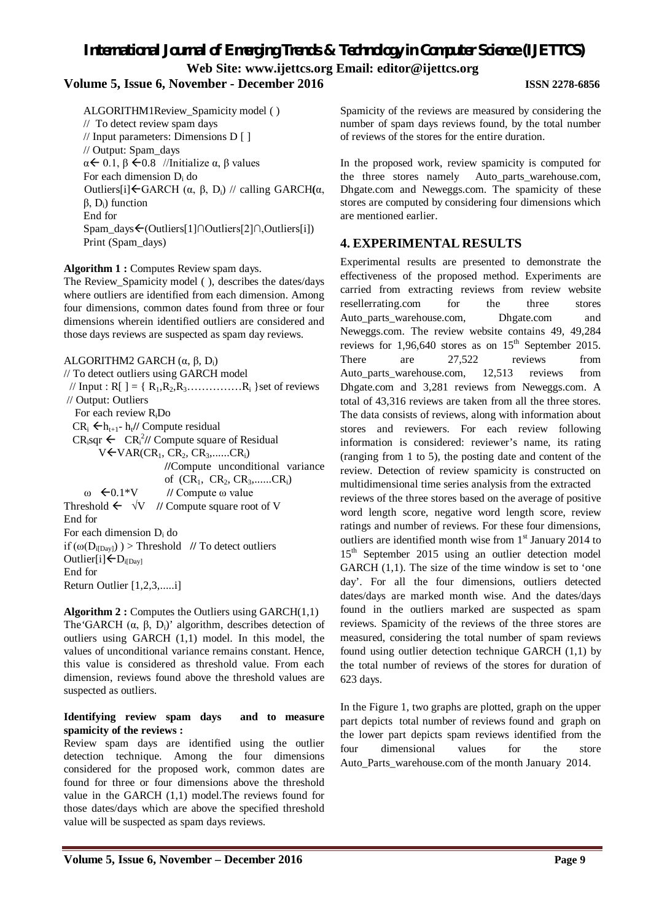# *International Journal of Emerging Trends & Technology in Computer Science (IJETTCS)*

**Web Site: www.ijettcs.org Email: editor@ijettcs.org** 

#### **Volume 5, Issue 6, November - December 2016 ISSN 2278-6856**

ALGORITHM1Review\_Spamicity model ( ) // To detect review spam days // Input parameters: Dimensions D [ ] // Output: Spam\_days  $\alpha \leq 0.1$ ,  $\beta \leq 0.8$  //Initialize  $\alpha$ ,  $\beta$  values For each dimension  $D_i$  do Outliers[i]GARCH (α, β, Di) // calling GARCH**(**α, β, Di) function End for Spam\_days(Outliers[1]∩Outliers[2]∩,Outliers[i]) Print (Spam\_days)

#### **Algorithm 1 :** Computes Review spam days.

The Review\_Spamicity model ( ), describes the dates/days where outliers are identified from each dimension. Among four dimensions, common dates found from three or four dimensions wherein identified outliers are considered and those days reviews are suspected as spam day reviews.

#### ALGORITHM2 GARCH  $(α, β, D<sub>i</sub>)$

// To detect outliers using GARCH model // Input : R[ ] = { R1,R2,R3……………R<sup>i</sup> }set of reviews // Output: Outliers For each review RiDo  $CR_i \leftarrow h_{t+1}$ - h<sub>t</sub>// Compute residual  $CR_i$ sqr  $\leftarrow CR_i^2$ // Compute square of Residual  $V$  $\leftarrow$   $VAR(CR_1, CR_2, CR_3,......CR_i)$ **//**Compute unconditional variance of  $(CR_1, CR_2, CR_3,.....CR_i)$  $ω \leftarrow 0.1*V$  // Compute ω value Threshold  $\leftarrow \forall V$  // Compute square root of V End for For each dimension  $D_i$  do if  $(\omega(D_{i[Dav]})$ ) > Threshold // To detect outliers Outlier[i] $\leftarrow$ D<sub>i[Day]</sub> End for Return Outlier [1,2,3,.....i]

**Algorithm 2 :** Computes the Outliers using GARCH(1,1) The 'GARCH  $(\alpha, \beta, D_i)$ ' algorithm, describes detection of outliers using GARCH (1,1) model. In this model, the values of unconditional variance remains constant. Hence, this value is considered as threshold value. From each dimension, reviews found above the threshold values are suspected as outliers.

#### **Identifying review spam days and to measure spamicity of the reviews :**

Review spam days are identified using the outlier detection technique. Among the four dimensions considered for the proposed work, common dates are found for three or four dimensions above the threshold value in the GARCH (1,1) model.The reviews found for those dates/days which are above the specified threshold value will be suspected as spam days reviews.

Spamicity of the reviews are measured by considering the number of spam days reviews found, by the total number of reviews of the stores for the entire duration.

In the proposed work, review spamicity is computed for the three stores namely Auto\_parts\_warehouse.com, Dhgate.com and Neweggs.com. The spamicity of these stores are computed by considering four dimensions which are mentioned earlier.

## **4. EXPERIMENTAL RESULTS**

Experimental results are presented to demonstrate the effectiveness of the proposed method. Experiments are carried from extracting reviews from review website resellerrating.com for the three stores Auto parts warehouse.com, Dhgate.com and Neweggs.com. The review website contains 49, 49,284 reviews for  $1,96,640$  stores as on  $15<sup>th</sup>$  September 2015. There are 27,522 reviews from Auto\_parts\_warehouse.com, 12,513 reviews from Dhgate.com and 3,281 reviews from Neweggs.com. A total of 43,316 reviews are taken from all the three stores. The data consists of reviews, along with information about stores and reviewers. For each review following information is considered: reviewer's name, its rating (ranging from 1 to 5), the posting date and content of the review. Detection of review spamicity is constructed on multidimensional time series analysis from the extracted reviews of the three stores based on the average of positive word length score, negative word length score, review ratings and number of reviews. For these four dimensions, outliers are identified month wise from  $1<sup>st</sup>$  January 2014 to 15<sup>th</sup> September 2015 using an outlier detection model GARCH (1,1). The size of the time window is set to 'one day'. For all the four dimensions, outliers detected dates/days are marked month wise. And the dates/days found in the outliers marked are suspected as spam reviews. Spamicity of the reviews of the three stores are measured, considering the total number of spam reviews found using outlier detection technique GARCH (1,1) by the total number of reviews of the stores for duration of 623 days.

In the Figure 1, two graphs are plotted, graph on the upper part depicts total number of reviews found and graph on the lower part depicts spam reviews identified from the four dimensional values for the store Auto Parts warehouse.com of the month January 2014.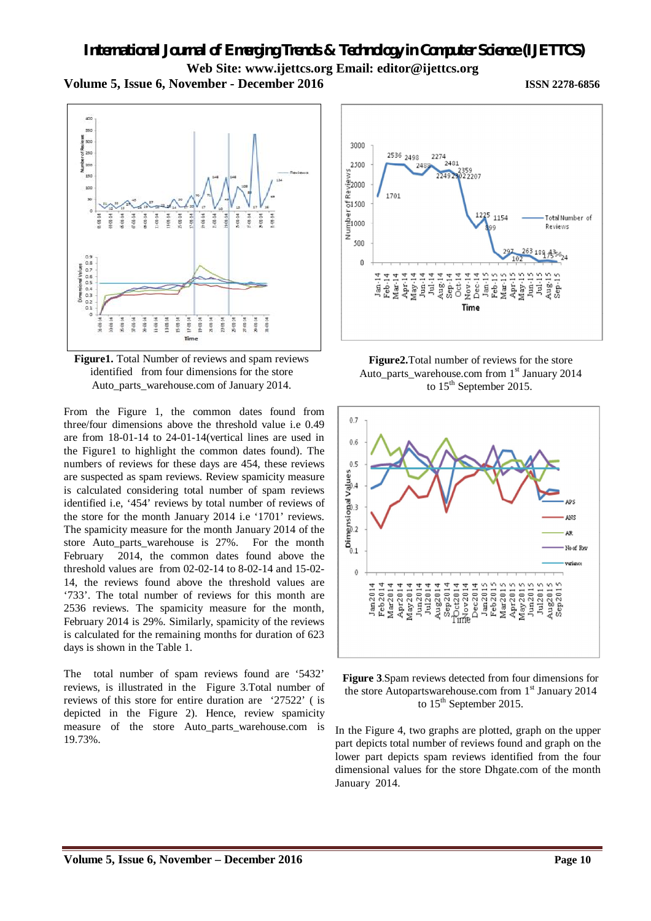

**Figure1.** Total Number of reviews and spam reviews identified from four dimensions for the store Auto\_parts\_warehouse.com of January 2014.

From the Figure 1, the common dates found from three/four dimensions above the threshold value i.e 0.49 are from 18-01-14 to 24-01-14(vertical lines are used in the Figure1 to highlight the common dates found). The numbers of reviews for these days are 454, these reviews are suspected as spam reviews. Review spamicity measure is calculated considering total number of spam reviews identified i.e, '454' reviews by total number of reviews of the store for the month January 2014 i.e '1701' reviews. The spamicity measure for the month January 2014 of the store Auto\_parts\_warehouse is 27%. For the month February 2014, the common dates found above the threshold values are from 02-02-14 to 8-02-14 and 15-02- 14, the reviews found above the threshold values are '733'. The total number of reviews for this month are 2536 reviews. The spamicity measure for the month, February 2014 is 29%. Similarly, spamicity of the reviews is calculated for the remaining months for duration of 623 days is shown in the Table 1.

The total number of spam reviews found are '5432' reviews, is illustrated in the Figure 3.Total number of reviews of this store for entire duration are '27522' ( is depicted in the Figure 2). Hence, review spamicity measure of the store Auto parts warehouse.com is 19.73%.



**Figure2.**Total number of reviews for the store Auto\_parts\_warehouse.com from 1<sup>st</sup> January 2014 to 15<sup>th</sup> September 2015.



**Figure 3**.Spam reviews detected from four dimensions for the store Autopartswarehouse.com from  $1<sup>st</sup>$  January 2014 to 15<sup>th</sup> September 2015.

In the Figure 4, two graphs are plotted, graph on the upper part depicts total number of reviews found and graph on the lower part depicts spam reviews identified from the four dimensional values for the store Dhgate.com of the month January 2014.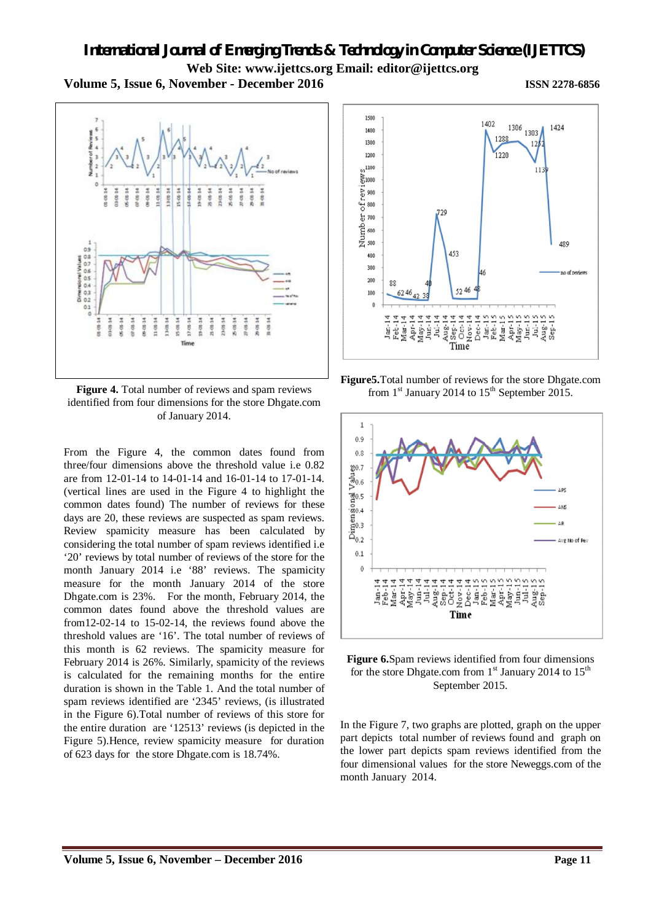



**Figure 4.** Total number of reviews and spam reviews identified from four dimensions for the store Dhgate.com of January 2014.

From the Figure 4, the common dates found from three/four dimensions above the threshold value i.e 0.82 are from 12-01-14 to 14-01-14 and 16-01-14 to 17-01-14. (vertical lines are used in the Figure 4 to highlight the common dates found) The number of reviews for these days are 20, these reviews are suspected as spam reviews. Review spamicity measure has been calculated by considering the total number of spam reviews identified i.e '20' reviews by total number of reviews of the store for the month January 2014 i.e '88' reviews. The spamicity measure for the month January 2014 of the store Dhgate.com is 23%. For the month, February 2014, the common dates found above the threshold values are from12-02-14 to 15-02-14, the reviews found above the threshold values are '16'. The total number of reviews of this month is 62 reviews. The spamicity measure for February 2014 is 26%. Similarly, spamicity of the reviews is calculated for the remaining months for the entire duration is shown in the Table 1. And the total number of spam reviews identified are '2345' reviews, (is illustrated in the Figure 6).Total number of reviews of this store for the entire duration are '12513' reviews (is depicted in the Figure 5).Hence, review spamicity measure for duration of 623 days for the store Dhgate.com is 18.74%.



**Figure5.**Total number of reviews for the store Dhgate.com from  $1<sup>st</sup>$  January 2014 to  $15<sup>th</sup>$  September 2015.





In the Figure 7, two graphs are plotted, graph on the upper part depicts total number of reviews found and graph on the lower part depicts spam reviews identified from the four dimensional values for the store Neweggs.com of the month January 2014.

# **Volume 5, Issue 6, November – December 2016 Page 11**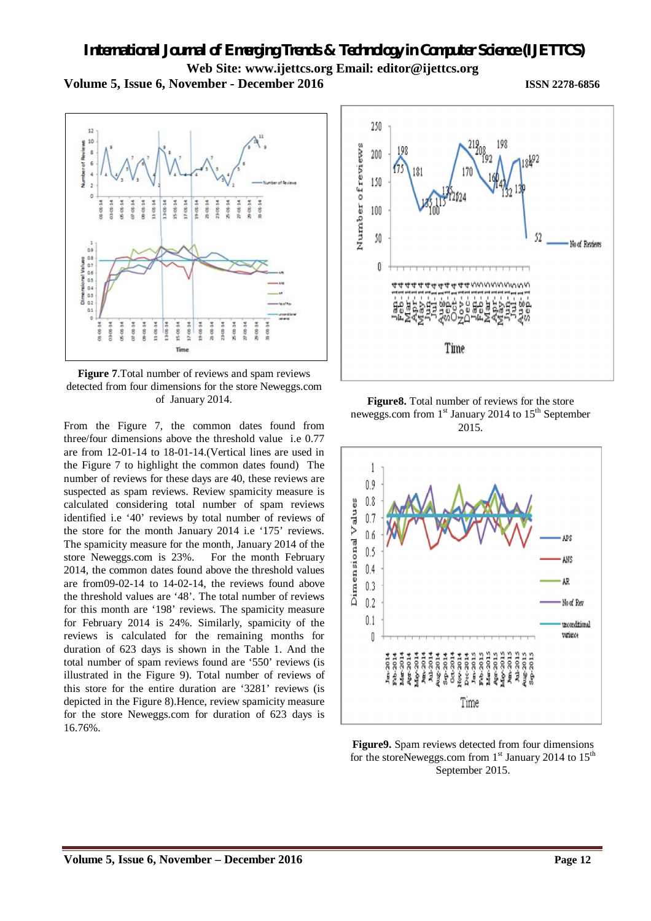

**Figure 7**.Total number of reviews and spam reviews detected from four dimensions for the store Neweggs.com of January 2014.

Tir

From the Figure 7, the common dates found from three/four dimensions above the threshold value i.e 0.77 are from 12-01-14 to 18-01-14.(Vertical lines are used in the Figure 7 to highlight the common dates found) The number of reviews for these days are 40, these reviews are suspected as spam reviews. Review spamicity measure is calculated considering total number of spam reviews identified i.e '40' reviews by total number of reviews of the store for the month January 2014 i.e '175' reviews. The spamicity measure for the month, January 2014 of the store Neweggs.com is 23%. For the month February 2014, the common dates found above the threshold values are from09-02-14 to 14-02-14, the reviews found above the threshold values are '48'. The total number of reviews for this month are '198' reviews. The spamicity measure for February 2014 is 24%. Similarly, spamicity of the reviews is calculated for the remaining months for duration of 623 days is shown in the Table 1. And the total number of spam reviews found are '550' reviews (is illustrated in the Figure 9). Total number of reviews of this store for the entire duration are '3281' reviews (is depicted in the Figure 8).Hence, review spamicity measure for the store Neweggs.com for duration of 623 days is 16.76%.







**Figure9.** Spam reviews detected from four dimensions for the storeNeweggs.com from  $1<sup>st</sup>$  January 2014 to  $15<sup>th</sup>$ September 2015.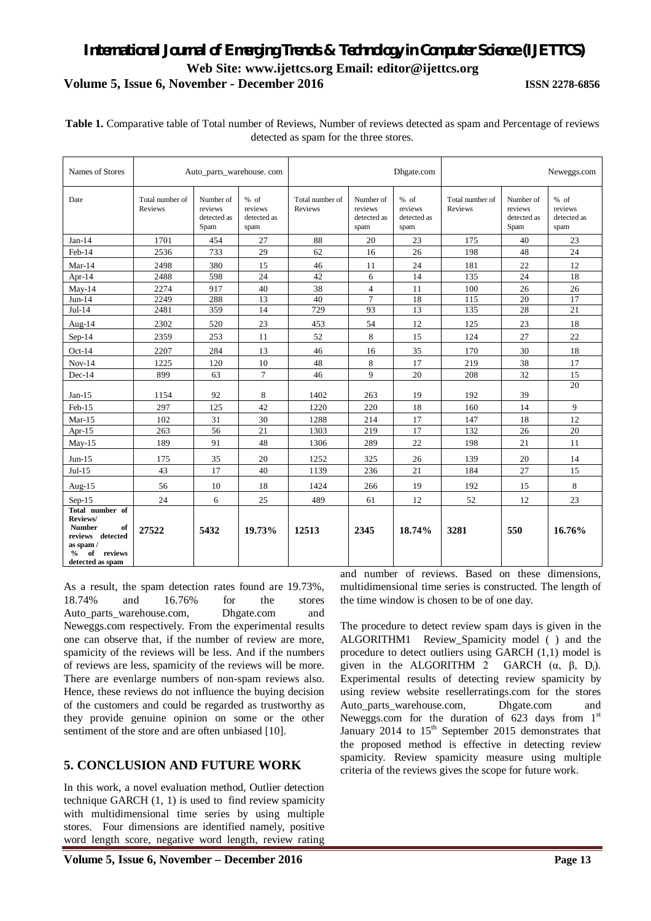| Table 1. Comparative table of Total number of Reviews, Number of reviews detected as spam and Percentage of reviews |
|---------------------------------------------------------------------------------------------------------------------|
| detected as spam for the three stores.                                                                              |

| Names of Stores                                                                                                              | Auto_parts_warehouse.com   |                                             |                                        | Dhgate.com                 |                                             |                                        | Neweggs.com                |                                             |                                        |
|------------------------------------------------------------------------------------------------------------------------------|----------------------------|---------------------------------------------|----------------------------------------|----------------------------|---------------------------------------------|----------------------------------------|----------------------------|---------------------------------------------|----------------------------------------|
| Date                                                                                                                         | Total number of<br>Reviews | Number of<br>reviews<br>detected as<br>Spam | % of<br>reviews<br>detected as<br>spam | Total number of<br>Reviews | Number of<br>reviews<br>detected as<br>spam | % of<br>reviews<br>detected as<br>spam | Total number of<br>Reviews | Number of<br>reviews<br>detected as<br>Spam | % of<br>reviews<br>detected as<br>spam |
| $Jan-14$                                                                                                                     | 1701                       | 454                                         | 27                                     | 88                         | 20                                          | 23                                     | 175                        | 40                                          | 23                                     |
| Feb-14                                                                                                                       | 2536                       | 733                                         | 29                                     | 62                         | 16                                          | 26                                     | 198                        | 48                                          | 24                                     |
| $Mar-14$                                                                                                                     | 2498                       | 380                                         | 15                                     | 46                         | 11                                          | 24                                     | 181                        | 22                                          | 12                                     |
| Apr-14                                                                                                                       | 2488                       | 598                                         | 24                                     | 42                         | 6                                           | 14                                     | 135                        | 24                                          | 18                                     |
| $May-14$                                                                                                                     | 2274                       | 917                                         | 40                                     | 38                         | 4                                           | 11                                     | 100                        | 26                                          | 26                                     |
| $Jun-14$                                                                                                                     | 2249                       | 288                                         | 13                                     | 40                         | $\overline{7}$                              | 18                                     | 115                        | 20                                          | 17                                     |
| $Jul-14$                                                                                                                     | 2481                       | 359                                         | 14                                     | 729                        | 93                                          | 13                                     | 135                        | 28                                          | 21                                     |
| Aug- $14$                                                                                                                    | 2302                       | 520                                         | 23                                     | 453                        | 54                                          | 12                                     | 125                        | 23                                          | 18                                     |
| $Sep-14$                                                                                                                     | 2359                       | 253                                         | 11                                     | 52                         | 8                                           | 15                                     | 124                        | 27                                          | 22                                     |
| $Oct-14$                                                                                                                     | 2207                       | 284                                         | 13                                     | 46                         | 16                                          | 35                                     | 170                        | 30                                          | 18                                     |
| $Nov-14$                                                                                                                     | 1225                       | 120                                         | 10                                     | 48                         | 8                                           | 17                                     | 219                        | 38                                          | 17                                     |
| $Dec-14$                                                                                                                     | 899                        | 63                                          | $\overline{7}$                         | 46                         | 9                                           | 20                                     | 208                        | 32                                          | 15                                     |
| $Jan-15$                                                                                                                     | 1154                       | 92                                          | 8                                      | 1402                       | 263                                         | 19                                     | 192                        | 39                                          | 20                                     |
| Feb-15                                                                                                                       | 297                        | 125                                         | 42                                     | 1220                       | 220                                         | 18                                     | 160                        | 14                                          | 9                                      |
| $Mar-15$                                                                                                                     | 102                        | 31                                          | 30                                     | 1288                       | 214                                         | 17                                     | 147                        | 18                                          | 12                                     |
| Apr- $15$                                                                                                                    | 263                        | 56                                          | 21                                     | 1303                       | 219                                         | 17                                     | 132                        | 26                                          | 20                                     |
| $May-15$                                                                                                                     | 189                        | 91                                          | 48                                     | 1306                       | 289                                         | 22                                     | 198                        | 21                                          | 11                                     |
| $Jun-15$                                                                                                                     | 175                        | 35                                          | 20                                     | 1252                       | 325                                         | 26                                     | 139                        | 20                                          | 14                                     |
| $Jul-15$                                                                                                                     | 43                         | 17                                          | 40                                     | 1139                       | 236                                         | 21                                     | 184                        | 27                                          | 15                                     |
| Aug- $15$                                                                                                                    | 56                         | 10                                          | 18                                     | 1424                       | 266                                         | 19                                     | 192                        | 15                                          | 8                                      |
| $Sep-15$                                                                                                                     | 24                         | 6                                           | 25                                     | 489                        | 61                                          | 12                                     | 52                         | 12                                          | 23                                     |
| Total number of<br>Reviews/<br><b>Number</b><br>of<br>reviews detected<br>as spam/<br>$\%$<br>of reviews<br>detected as spam | 27522                      | 5432                                        | 19.73%                                 | 12513                      | 2345                                        | 18.74%                                 | 3281                       | 550                                         | 16.76%                                 |

As a result, the spam detection rates found are 19.73%, 18.74% and 16.76% for the stores Auto\_parts\_warehouse.com, Dhgate.com and Neweggs.com respectively. From the experimental results one can observe that, if the number of review are more, spamicity of the reviews will be less. And if the numbers of reviews are less, spamicity of the reviews will be more. There are evenlarge numbers of non-spam reviews also. Hence, these reviews do not influence the buying decision of the customers and could be regarded as trustworthy as they provide genuine opinion on some or the other sentiment of the store and are often unbiased [10].

### **5. CONCLUSION AND FUTURE WORK**

In this work, a novel evaluation method, Outlier detection technique GARCH (1, 1) is used to find review spamicity with multidimensional time series by using multiple stores. Four dimensions are identified namely, positive word length score, negative word length, review rating

and number of reviews. Based on these dimensions, multidimensional time series is constructed. The length of the time window is chosen to be of one day.

The procedure to detect review spam days is given in the ALGORITHM1 Review\_Spamicity model ( ) and the procedure to detect outliers using GARCH (1,1) model is given in the ALGORITHM 2 GARCH  $(\alpha, \beta, D_i)$ . Experimental results of detecting review spamicity by using review website resellerratings.com for the stores Auto\_parts\_warehouse.com, Dhgate.com and Neweggs.com for the duration of  $\overline{623}$  days from 1<sup>st</sup> January 2014 to  $15<sup>th</sup>$  September 2015 demonstrates that the proposed method is effective in detecting review spamicity. Review spamicity measure using multiple criteria of the reviews gives the scope for future work.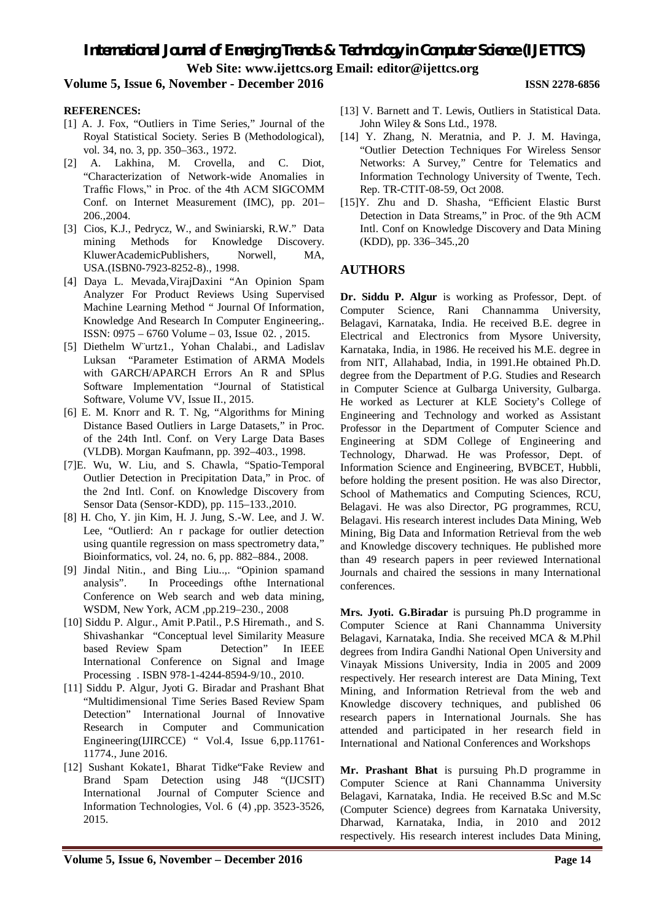*International Journal of Emerging Trends & Technology in Computer Science (IJETTCS)* **Web Site: www.ijettcs.org Email: editor@ijettcs.org** 

#### **Volume 5, Issue 6, November - December 2016 ISSN 2278-6856**

### **REFERENCES:**

- [1] A. J. Fox, "Outliers in Time Series," Journal of the Royal Statistical Society. Series B (Methodological), vol. 34, no. 3, pp. 350–363., 1972.
- [2] A. Lakhina, M. Crovella, and C. Diot, "Characterization of Network-wide Anomalies in Traffic Flows," in Proc. of the 4th ACM SIGCOMM Conf. on Internet Measurement (IMC), pp. 201– 206.,2004.
- [3] Cios, K.J., Pedrycz, W., and Swiniarski, R.W." Data mining Methods for Knowledge Discovery. KluwerAcademicPublishers. Norwell, MA, USA.(ISBN0-7923-8252-8)., 1998.
- [4] Daya L. Mevada,VirajDaxini "An Opinion Spam Analyzer For Product Reviews Using Supervised Machine Learning Method " Journal Of Information, Knowledge And Research In Computer Engineering,. ISSN: 0975 – 6760 Volume – 03, Issue 02. , 2015.
- [5] Diethelm W¨urtz1., Yohan Chalabi., and Ladislav Luksan "Parameter Estimation of ARMA Models with GARCH/APARCH Errors An R and SPlus Software Implementation "Journal of Statistical Software, Volume VV, Issue II., 2015.
- [6] E. M. Knorr and R. T. Ng, "Algorithms for Mining Distance Based Outliers in Large Datasets," in Proc. of the 24th Intl. Conf. on Very Large Data Bases (VLDB). Morgan Kaufmann, pp. 392–403., 1998.
- [7]E. Wu, W. Liu, and S. Chawla, "Spatio-Temporal Outlier Detection in Precipitation Data," in Proc. of the 2nd Intl. Conf. on Knowledge Discovery from Sensor Data (Sensor-KDD), pp. 115–133.,2010.
- [8] H. Cho, Y. jin Kim, H. J. Jung, S.-W. Lee, and J. W. Lee, "Outlierd: An r package for outlier detection using quantile regression on mass spectrometry data," Bioinformatics, vol. 24, no. 6, pp. 882–884., 2008.
- [9] Jindal Nitin., and Bing Liu..,. "Opinion spamand analysis". In Proceedings ofthe International Conference on Web search and web data mining, WSDM, New York, ACM ,pp.219–230., 2008
- [10] Siddu P. Algur., Amit P. Patil., P.S Hiremath., and S. Shivashankar "Conceptual level Similarity Measure based Review Spam Detection" In IEEE International Conference on Signal and Image Processing . ISBN 978-1-4244-8594-9/10., 2010.
- [11] Siddu P. Algur, Jyoti G. Biradar and Prashant Bhat "Multidimensional Time Series Based Review Spam Detection" International Journal of Innovative Research in Computer and Communication Engineering(IJIRCCE) " Vol.4, Issue 6,pp.11761- 11774., June 2016.
- [12] Sushant Kokate1, Bharat Tidke"Fake Review and Brand Spam Detection using J48 "(IJCSIT) International Journal of Computer Science and Information Technologies, Vol. 6 (4) ,pp. 3523-3526, 2015.
- [13] V. Barnett and T. Lewis, Outliers in Statistical Data. John Wiley & Sons Ltd., 1978.
- [14] Y. Zhang, N. Meratnia, and P. J. M. Havinga, "Outlier Detection Techniques For Wireless Sensor Networks: A Survey," Centre for Telematics and Information Technology University of Twente, Tech. Rep. TR-CTIT-08-59, Oct 2008.
- [15]Y. Zhu and D. Shasha, "Efficient Elastic Burst Detection in Data Streams," in Proc. of the 9th ACM Intl. Conf on Knowledge Discovery and Data Mining (KDD), pp. 336–345.,20

#### **AUTHORS**

**Dr. Siddu P. Algur** is working as Professor, Dept. of Computer Science, Rani Channamma University, Belagavi, Karnataka, India. He received B.E. degree in Electrical and Electronics from Mysore University, Karnataka, India, in 1986. He received his M.E. degree in from NIT, Allahabad, India, in 1991.He obtained Ph.D. degree from the Department of P.G. Studies and Research in Computer Science at Gulbarga University, Gulbarga. He worked as Lecturer at KLE Society's College of Engineering and Technology and worked as Assistant Professor in the Department of Computer Science and Engineering at SDM College of Engineering and Technology, Dharwad. He was Professor, Dept. of Information Science and Engineering, BVBCET, Hubbli, before holding the present position. He was also Director, School of Mathematics and Computing Sciences, RCU, Belagavi. He was also Director, PG programmes, RCU, Belagavi. His research interest includes Data Mining, Web Mining, Big Data and Information Retrieval from the web and Knowledge discovery techniques. He published more than 49 research papers in peer reviewed International Journals and chaired the sessions in many International conferences.

**Mrs. Jyoti. G.Biradar** is pursuing Ph.D programme in Computer Science at Rani Channamma University Belagavi, Karnataka, India. She received MCA & M.Phil degrees from Indira Gandhi National Open University and Vinayak Missions University, India in 2005 and 2009 respectively. Her research interest are Data Mining, Text Mining, and Information Retrieval from the web and Knowledge discovery techniques, and published 06 research papers in International Journals. She has attended and participated in her research field in International and National Conferences and Workshops

**Mr. Prashant Bhat** is pursuing Ph.D programme in Computer Science at Rani Channamma University Belagavi, Karnataka, India. He received B.Sc and M.Sc (Computer Science) degrees from Karnataka University, Dharwad, Karnataka, India, in 2010 and 2012 respectively. His research interest includes Data Mining,